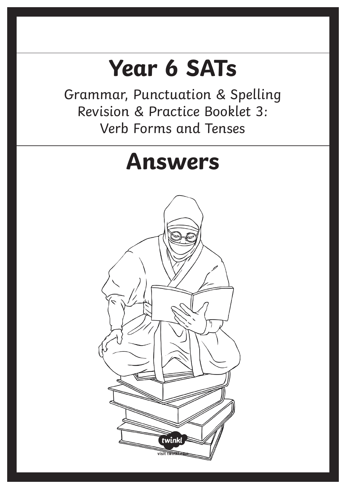# **Year 6 SATs**

Grammar, Punctuation & Spelling Revision & Practice Booklet 3: Verb Forms and Tenses

# **Answers** twink visit twink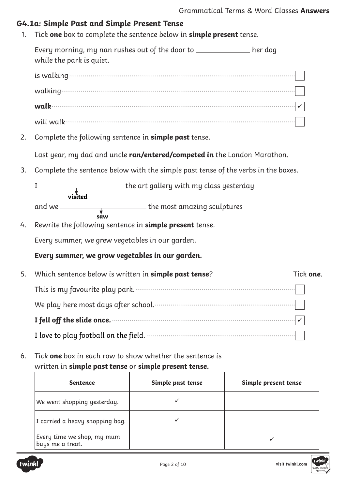# **G4.1a: Simple Past and Simple Present Tense**

1. Tick **one** box to complete the sentence below in **simple present** tense.

Every morning, my nan rushes out of the door to \_\_\_\_\_\_\_\_\_\_\_\_\_\_ her dog while the park is quiet.

is walking.................................................................................................................... walking........................................................................................................................ **walk**............................................................................................................................. will walk......................................................................................................................

2. Complete the following sentence in **simple past** tense.

Last year, my dad and uncle **ran/entered/competed in** the London Marathon.

3. Complete the sentence below with the simple past tense of the verbs in the boxes.

<u>I the art gallery with my class yesterday</u> and we the most amazing sculptures **visited**

$$
\overset{\text{v}}{\text{saw}}
$$

4. Rewrite the following sentence in **simple present** tense.

Every summer, we grew vegetables in our garden.

- **Every summer, we grow vegetables in our garden.**
- 5. Which sentence below is written in **simple past tense**? Tick **one**. This is my favourite play park................................................................................... We play here most days after school......................................................................... **I fell off the slide once.**.............................................................................................. I love to play football on the field. ............................................................................
- 6. Tick **one** box in each row to show whether the sentence is written in **simple past tense** or **simple present tense.**

| <b>Sentence</b>                                | Simple past tense | Simple present tense |
|------------------------------------------------|-------------------|----------------------|
| We went shopping yesterday.                    |                   |                      |
| I carried a heavy shopping bag.                |                   |                      |
| Every time we shop, my mum<br>buys me a treat. |                   |                      |

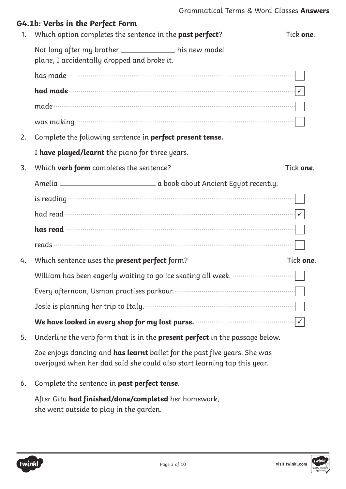| 1. | G4.1b: Verbs in the Perfect Form<br>Which option completes the sentence in the past perfect?         | Tick one. |
|----|------------------------------------------------------------------------------------------------------|-----------|
|    | Not long after my brother _____________ his new model<br>plane, I accidentally dropped and broke it. |           |
|    |                                                                                                      |           |
|    |                                                                                                      |           |
|    |                                                                                                      |           |
|    |                                                                                                      |           |
| 2. | Complete the following sentence in perfect present tense.                                            |           |
|    | I have played/learnt the piano for three years.                                                      |           |
| 3. | Which <b>verb form</b> completes the sentence?                                                       | Tick one. |
|    |                                                                                                      |           |
|    |                                                                                                      |           |
|    |                                                                                                      |           |
|    |                                                                                                      |           |
|    |                                                                                                      |           |
| 4. | Which sentence uses the present perfect form?                                                        | Tick one. |
|    | William has been eagerly waiting to go ice skating all week. …………………………………………………                     |           |
|    |                                                                                                      |           |
|    |                                                                                                      |           |
|    |                                                                                                      |           |
| 5. | Underline the verb form that is in the present perfect in the passage below.                         |           |

Zoe enjoys dancing and **has learnt** ballet for the past five years. She was overjoyed when her dad said she could also start learning tap this year.

6. Complete the sentence in **past perfect tense**.

After Gita **had finished/done/completed** her homework, she went outside to play in the garden.



**visit twinkl.com**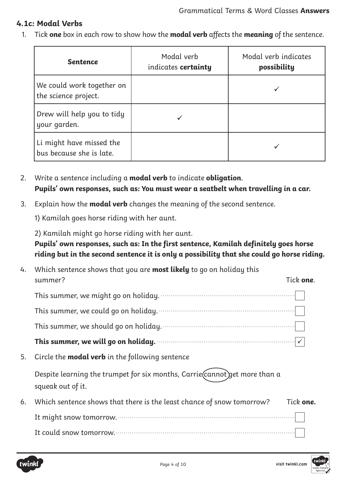# **4.1c: Modal Verbs**

1. Tick **one** box in each row to show how the **modal verb** affects the **meaning** of the sentence.

| <b>Sentence</b>                                      | Modal verb<br>indicates <b>certainty</b> | Modal verb indicates<br>possibility |
|------------------------------------------------------|------------------------------------------|-------------------------------------|
| We could work together on<br>the science project.    |                                          |                                     |
| Drew will help you to tidy<br>your garden.           |                                          |                                     |
| Li might have missed the<br>bus because she is late. |                                          |                                     |

2. Write a sentence including a **modal verb** to indicate **obligation**. **Pupils' own responses, such as: You must wear a seatbelt when travelling in a car.**

3. Explain how the **modal verb** changes the meaning of the second sentence.

1) Kamilah goes horse riding with her aunt.

2) Kamilah might go horse riding with her aunt.

# **Pupils' own responses, such as: In the first sentence, Kamilah definitely goes horse riding but in the second sentence it is only a possibility that she could go horse riding.**

| 4. | Which sentence shows that you are <b>most likely</b> to go on holiday this                        |  |
|----|---------------------------------------------------------------------------------------------------|--|
|    | Tick <b>one</b> .<br>summer?                                                                      |  |
|    |                                                                                                   |  |
|    | This summer, we could go on holiday.                                                              |  |
|    | This summer, we should go on holiday.                                                             |  |
|    | This summer, we will go on holiday.                                                               |  |
| 5. | Circle the <b>modal verb</b> in the following sentence                                            |  |
|    | Despite learning the trumpet for six months, Carrie (cannot) get more than a<br>squeak out of it. |  |
| 6. | Which sentence shows that there is the least chance of snow tomorrow?<br>Tick <b>one.</b>         |  |
|    | It might snow tomorrow.                                                                           |  |
|    | It could snow tomorrow.                                                                           |  |
|    |                                                                                                   |  |

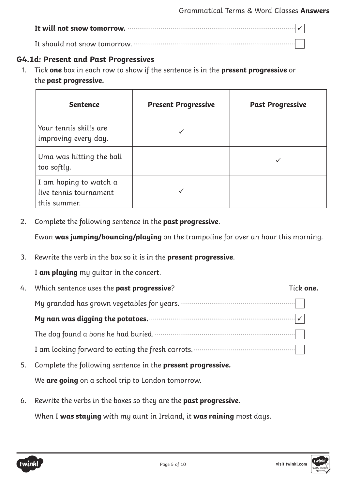| It will not snow tomorrow. $\frac{1}{2}$ is the state of the state of the state of $\vert \sqrt{\vert}$ |  |
|---------------------------------------------------------------------------------------------------------|--|
|                                                                                                         |  |

# **G4.1d: Present and Past Progressives**

1. Tick **one** box in each row to show if the sentence is in the **present progressive** or the **past progressive.**

| <b>Sentence</b>                                                  | <b>Present Progressive</b> | <b>Past Progressive</b> |
|------------------------------------------------------------------|----------------------------|-------------------------|
| Your tennis skills are<br>improving every day.                   |                            |                         |
| Uma was hitting the ball<br>too softly.                          |                            |                         |
| I am hoping to watch a<br>live tennis tournament<br>this summer. |                            |                         |

2. Complete the following sentence in the **past progressive**.

Ewan **was jumping/bouncing/playing** on the trampoline for over an hour this morning.

3. Rewrite the verb in the box so it is in the **present progressive**.

I **am playing** my guitar in the concert.

| 4. | Which sentence uses the past progressive?                   | Tick <b>one.</b> |
|----|-------------------------------------------------------------|------------------|
|    | My grandad has grown vegetables for years.                  |                  |
|    | My nan was digging the potatoes.                            |                  |
|    | The dog found a bone he had buried.                         |                  |
|    | I am looking forward to eating the fresh carrots.           |                  |
| 5. | Complete the following sentence in the present progressive. |                  |
|    |                                                             |                  |

We **are going** on a school trip to London tomorrow.

6. Rewrite the verbs in the boxes so they are the **past progressive**.

When I **was staying** with my aunt in Ireland, it **was raining** most days.

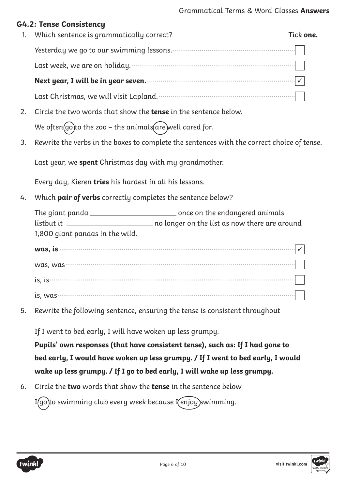#### **G4.2: Tense Consistency**

| 1. Which sentence is grammatically correct?                                                                 | Tick one. |
|-------------------------------------------------------------------------------------------------------------|-----------|
|                                                                                                             |           |
| Last week, we are on holiday. The manufactured with the set of the set of the last week, we are on holiday. |           |
| Next year, I will be in year seven.                                                                         |           |
| Last Christmas, we will visit Lapland.                                                                      |           |

- 2. Circle the two words that show the **tense** in the sentence below. We often  $(go)$ to the zoo – the animals $(are)$ well cared for.
- 3. Rewrite the verbs in the boxes to complete the sentences with the correct choice of tense.

Last year, we **spent** Christmas day with my grandmother.

Every day, Kieren **tries** his hardest in all his lessons.

4. Which **pair of verbs** correctly completes the sentence below?

| The giant panda .               | once on the endangered animals -              |
|---------------------------------|-----------------------------------------------|
| listbut it                      | no longer on the list as now there are around |
| 1,800 giant pandas in the wild. |                                               |

| was, is  |  |
|----------|--|
| was, was |  |
| is, is∙  |  |
| is, was  |  |

5. Rewrite the following sentence, ensuring the tense is consistent throughout

If I went to bed early, I will have woken up less grumpy.

**Pupils' own responses (that have consistent tense), such as: If I had gone to bed early, I would have woken up less grumpy. / If I went to bed early, I would wake up less grumpy. / If I go to bed early, I will wake up less grumpy.**

6. Circle the **two** words that show the **tense** in the sentence below

I(go)to swimming club every week because I(enjoy) swimming.



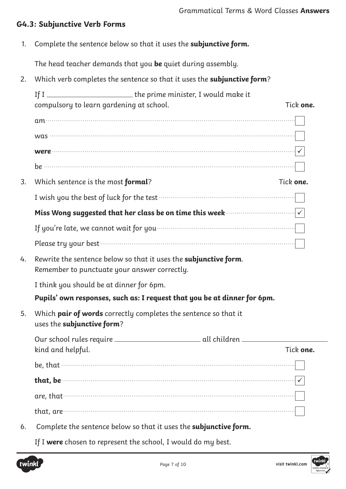# **G4.3: Subjunctive Verb Forms**

1. Complete the sentence below so that it uses the **subjunctive form.**

The head teacher demands that you **be** quiet during assembly.

2. Which verb completes the sentence so that it uses the **subjunctive form**?

|    |                                              | If I ___________________________the prime minister, I would make it                                                             |           |
|----|----------------------------------------------|---------------------------------------------------------------------------------------------------------------------------------|-----------|
|    | compulsory to learn gardening at school.     |                                                                                                                                 | Tick one. |
|    |                                              |                                                                                                                                 |           |
|    |                                              |                                                                                                                                 |           |
|    |                                              |                                                                                                                                 |           |
|    |                                              |                                                                                                                                 |           |
| 3. | Which sentence is the most formal?           |                                                                                                                                 | Tick one. |
|    |                                              | I wish you the best of luck for the test <b>contained and the set of luck</b> for the test <b>contained and the set of luck</b> |           |
|    |                                              | Miss Wong suggested that her class be on time this week $\cdots$ . $\cdots$ $\cdots$ $\cdots$                                   |           |
|    |                                              | If you're late, we cannot wait for you manufactured with a large position of the set of the set of the set of                   |           |
|    |                                              |                                                                                                                                 |           |
| 4. | Remember to punctuate your answer correctly. | Rewrite the sentence below so that it uses the subjunctive form.                                                                |           |
|    | I think you should be at dinner for 6pm.     |                                                                                                                                 |           |
|    |                                              | Pupils' own responses, such as: I request that you be at dinner for 6pm.                                                        |           |
| 5. | uses the subjunctive form?                   | Which pair of words correctly completes the sentence so that it                                                                 |           |
|    |                                              |                                                                                                                                 |           |
|    | kind and helpful.                            |                                                                                                                                 | Tick one  |
|    |                                              |                                                                                                                                 |           |
|    | that, be                                     |                                                                                                                                 |           |
|    | are, that $\cdot$                            |                                                                                                                                 |           |
|    |                                              |                                                                                                                                 |           |
| 6. |                                              | Complete the sentence below so that it uses the <b>subjunctive form.</b>                                                        |           |
|    |                                              |                                                                                                                                 |           |

If I **were** chosen to represent the school, I would do my best.

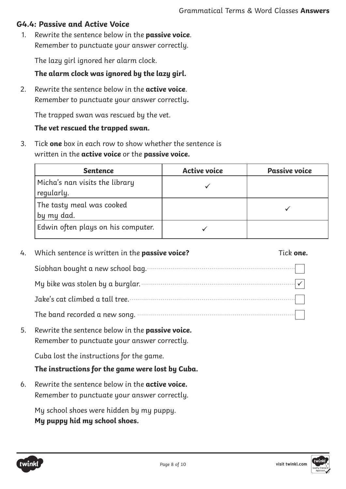# **G4.4: Passive and Active Voice**

1. Rewrite the sentence below in the **passive voice**. Remember to punctuate your answer correctly.

The lazy girl ignored her alarm clock.

## **The alarm clock was ignored by the lazy girl.**

2. Rewrite the sentence below in the **active voice**. Remember to punctuate your answer correctly**.**

The trapped swan was rescued by the vet.

## **The vet rescued the trapped swan.**

3. Tick **one** box in each row to show whether the sentence is written in the **active voice** or the **passive voice.**

| <b>Sentence</b>                              | <b>Active voice</b> | <b>Passive voice</b> |
|----------------------------------------------|---------------------|----------------------|
| Micha's nan visits the library<br>regularly. |                     |                      |
| The tasty meal was cooked<br>by my dad.      |                     |                      |
| Edwin often plays on his computer.           |                     |                      |

| 4. | Which sentence is written in the passive voice?                                                        | Tick <b>one.</b> |
|----|--------------------------------------------------------------------------------------------------------|------------------|
|    |                                                                                                        |                  |
|    |                                                                                                        |                  |
|    |                                                                                                        |                  |
|    |                                                                                                        |                  |
| 5. | Rewrite the sentence below in the passive voice.<br>Remember to punctuate your answer correctly.       |                  |
|    | Cuba lost the instructions for the game.                                                               |                  |
|    | The instructions for the game were lost by Cuba.                                                       |                  |
| 6. | Rewrite the sentence below in the <b>active voice.</b><br>Remember to punctuate your answer correctly. |                  |
|    | My school shoes were hidden by my puppy.                                                               |                  |

**My puppy hid my school shoes.**

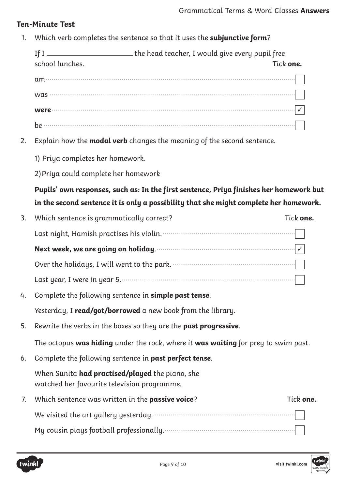# **Ten-Minute Test**

1. Which verb completes the sentence so that it uses the **subjunctive form**?

|    | If I ____________________________the head teacher, I would give every pupil free<br>school lunches.<br>Tick one. |  |  |  |  |  |
|----|------------------------------------------------------------------------------------------------------------------|--|--|--|--|--|
|    |                                                                                                                  |  |  |  |  |  |
|    |                                                                                                                  |  |  |  |  |  |
|    |                                                                                                                  |  |  |  |  |  |
|    |                                                                                                                  |  |  |  |  |  |
| 2. | Explain how the <b>modal verb</b> changes the meaning of the second sentence.                                    |  |  |  |  |  |
|    | 1) Priya completes her homework.                                                                                 |  |  |  |  |  |
|    | 2) Priya could complete her homework                                                                             |  |  |  |  |  |
|    | Pupils' own responses, such as: In the first sentence, Priya finishes her homework but                           |  |  |  |  |  |
|    | in the second sentence it is only a possibility that she might complete her homework.                            |  |  |  |  |  |
| 3. | Tick one.<br>Which sentence is grammatically correct?                                                            |  |  |  |  |  |
|    |                                                                                                                  |  |  |  |  |  |
|    | Next week, we are going on holiday. Manufacture material window of v                                             |  |  |  |  |  |
|    |                                                                                                                  |  |  |  |  |  |
|    |                                                                                                                  |  |  |  |  |  |
| 4. | Complete the following sentence in simple past tense.                                                            |  |  |  |  |  |
|    | Yesterday, I read/got/borrowed a new book from the library.                                                      |  |  |  |  |  |
| 5. | Rewrite the verbs in the boxes so they are the past progressive.                                                 |  |  |  |  |  |
|    | The octopus was hiding under the rock, where it was waiting for prey to swim past.                               |  |  |  |  |  |
| 6. | Complete the following sentence in past perfect tense.                                                           |  |  |  |  |  |
|    | When Sunita <b>had practised/played</b> the piano, she<br>watched her favourite television programme.            |  |  |  |  |  |
| 7. | Which sentence was written in the passive voice?<br>Tick one.                                                    |  |  |  |  |  |
|    |                                                                                                                  |  |  |  |  |  |
|    |                                                                                                                  |  |  |  |  |  |